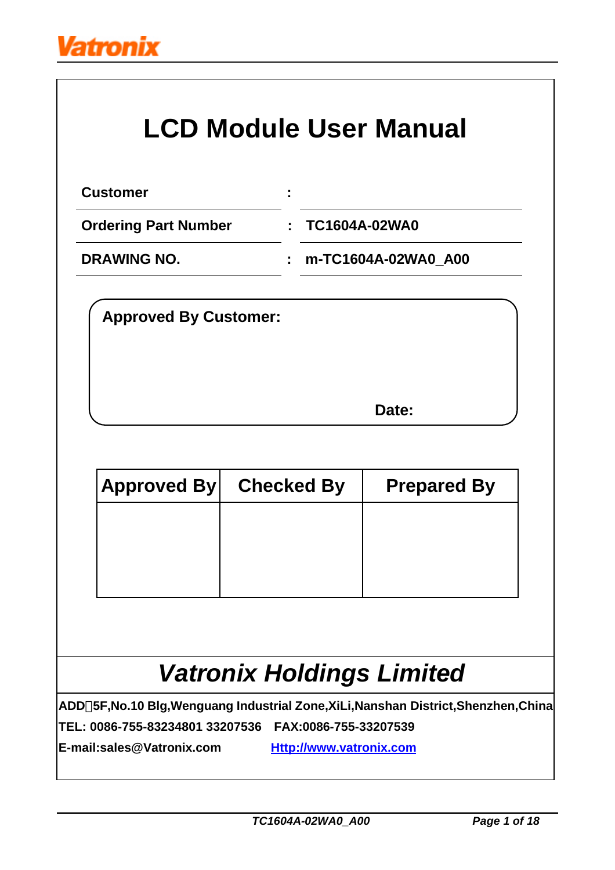

# **LCD Module User Manual**

| <b>Customer</b>                                                                                                                                      |                                                         |                     |  |
|------------------------------------------------------------------------------------------------------------------------------------------------------|---------------------------------------------------------|---------------------|--|
| <b>Ordering Part Number</b>                                                                                                                          | <b>TC1604A-02WA0</b><br>۳                               |                     |  |
| <b>DRAWING NO.</b>                                                                                                                                   | t                                                       | m-TC1604A-02WA0_A00 |  |
| <b>Approved By Customer:</b>                                                                                                                         |                                                         |                     |  |
|                                                                                                                                                      |                                                         | Date:               |  |
| <b>Approved By</b>                                                                                                                                   | <b>Checked By</b>                                       | <b>Prepared By</b>  |  |
|                                                                                                                                                      |                                                         |                     |  |
| <b>Vatronix Holdings Limited</b>                                                                                                                     |                                                         |                     |  |
| ADD 5F, No.10 Blg, Wenguang Industrial Zone, XiLi, Nanshan District, Shenzhen, China<br>TEL: 0086-755-83234801 33207536<br>E-mail:sales@Vatronix.com | FAX:0086-755-33207539<br><b>Http://www.vatronix.com</b> |                     |  |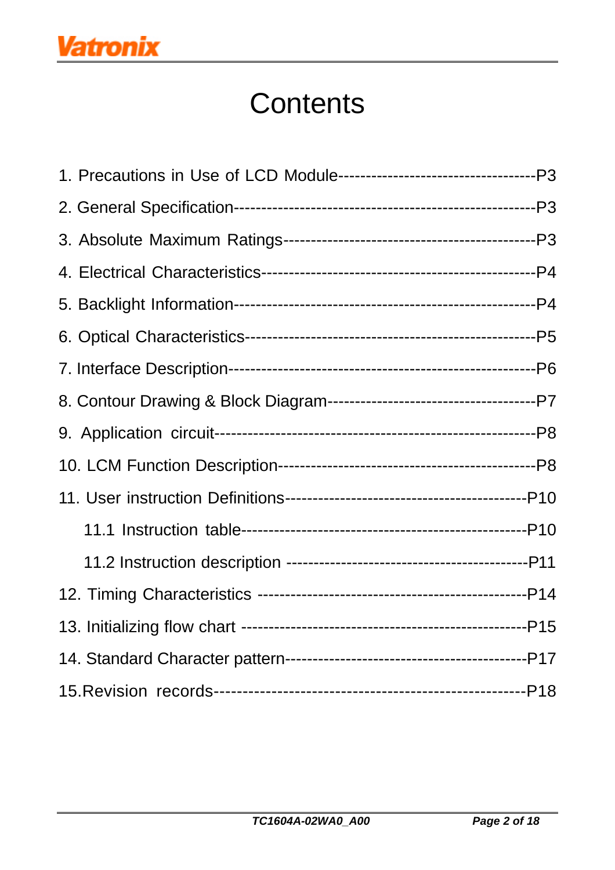# **Contents**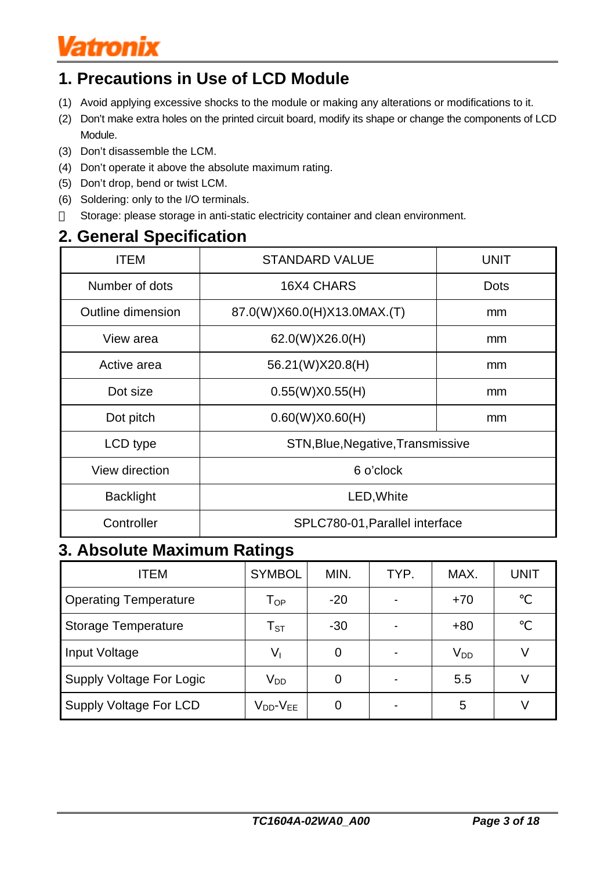# **Vatronix**

# **1. Precautions in Use of LCD Module**

- (1) Avoid applying excessive shocks to the module or making any alterations or modifications to it.
- (2) Don't make extra holes on the printed circuit board, modify its shape or change the components of LCD Module.
- (3) Don't disassemble the LCM.
- (4) Don't operate it above the absolute maximum rating.
- (5) Don't drop, bend or twist LCM.
- (6) Soldering: only to the I/O terminals. Storage: please storage in anti-static electricity container and clean environment.

## **2. General Specification**

| <b>ITEM</b>                                  | <b>STANDARD VALUE</b>             | <b>UNIT</b> |  |  |  |  |  |  |  |
|----------------------------------------------|-----------------------------------|-------------|--|--|--|--|--|--|--|
| Number of dots                               | 16X4 CHARS                        | <b>Dots</b> |  |  |  |  |  |  |  |
| Outline dimension                            | 87.0(W)X60.0(H)X13.0MAX.(T)       | mm          |  |  |  |  |  |  |  |
| View area                                    | 62.0(W)X26.0(H)                   | mm          |  |  |  |  |  |  |  |
| Active area                                  | 56.21(W)X20.8(H)                  | mm          |  |  |  |  |  |  |  |
| Dot size                                     | 0.55(W)X0.55(H)                   | mm          |  |  |  |  |  |  |  |
| Dot pitch                                    | 0.60(W)X0.60(H)                   | mm          |  |  |  |  |  |  |  |
| LCD type                                     | STN, Blue, Negative, Transmissive |             |  |  |  |  |  |  |  |
| View direction                               | 6 o'clock                         |             |  |  |  |  |  |  |  |
| <b>Backlight</b>                             | LED, White                        |             |  |  |  |  |  |  |  |
| Controller<br>SPLC780-01, Parallel interface |                                   |             |  |  |  |  |  |  |  |

## **3. Absolute Maximum Ratings**

| <b>ITEM</b>                     | <b>SYMBOL</b>              | MIN.  | TYP. | MAX.     | UNIT |
|---------------------------------|----------------------------|-------|------|----------|------|
| <b>Operating Temperature</b>    | $\mathsf{T}_{\mathsf{OP}}$ | $-20$ |      | $+70$    |      |
| <b>Storage Temperature</b>      | $T_{\textrm{ST}}$          | $-30$ |      | $+80$    |      |
| Input Voltage                   | Vı                         | 0     |      | $V_{DD}$ |      |
| <b>Supply Voltage For Logic</b> | V <sub>DD</sub>            |       |      | 5.5      |      |
| <b>Supply Voltage For LCD</b>   | $V_{DD}$ - $V_{EE}$        |       |      | 5        |      |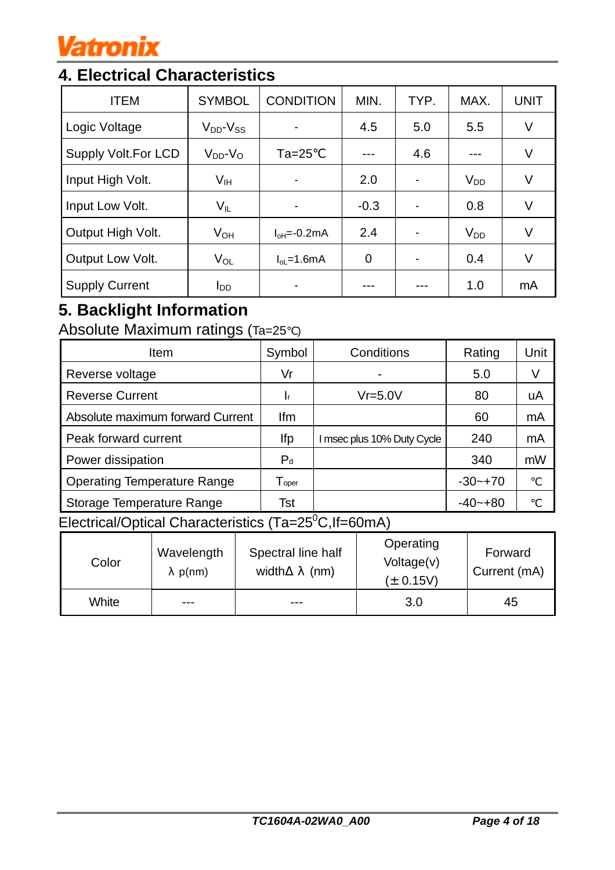# **Vatronix**

# **4. Electrical Characteristics**

| <b>ITEM</b>                | <b>SYMBOL</b>          | <b>CONDITION</b>                 | MIN.           | TYP. | MAX.            | <b>UNIT</b> |
|----------------------------|------------------------|----------------------------------|----------------|------|-----------------|-------------|
| Logic Voltage              | $V_{DD}$ - $V_{SS}$    |                                  | 4.5            | 5.0  | 5.5             | V           |
| <b>Supply Volt.For LCD</b> | $V_{DD}$ - $V_{O}$     | $Ta=25$                          |                | 4.6  |                 | V           |
| Input High Volt.           | $V_{\text{IH}}$        |                                  | 2.0            |      | $V_{DD}$        | V           |
| Input Low Volt.            | $V_{IL}$               |                                  | $-0.3$         |      | 0.8             | V           |
| Output High Volt.          | V <sub>OH</sub>        | $I_{\text{OH}} = -0.2 \text{mA}$ | 2.4            |      | V <sub>DD</sub> | V           |
| Output Low Volt.           | $V_{OL}$               | $I_{ol}$ =1.6mA                  | $\overline{0}$ |      | 0.4             | V           |
| <b>Supply Current</b>      | <b>I</b> <sub>DD</sub> |                                  |                |      | 1.0             | mA          |

# **5. Backlight Information**

Absolute Maximum ratings (Ta=25 )

| <b>Item</b>                        | Symbol                       | Conditions                 | Rating      | Unit |
|------------------------------------|------------------------------|----------------------------|-------------|------|
| Reverse voltage                    | Vr                           |                            | 5.0         | V    |
| <b>Reverse Current</b>             | 1r                           | $Vr = 5.0V$                | 80          | uA   |
| Absolute maximum forward Current   | lfm                          |                            | 60          | mA   |
| Peak forward current               | lfp                          | I msec plus 10% Duty Cycle | 240         | mA   |
| Power dissipation                  | $P_d$                        |                            | 340         | mW   |
| <b>Operating Temperature Range</b> | $\mathsf{T}_{\mathsf{oper}}$ |                            | $-30 - +70$ |      |
| Storage Temperature Range          | Tst                          |                            | $-40 - +80$ |      |

Electrical/Optical Characteristics  $(Ta=25\degree C, If=60\degree C)$ 

| Color | Wavelength<br>p(nm) | Spectral line half<br>width<br>(nm) | Operating<br>Voltage(v)<br>$(\pm 0.15V)$ | Forward<br>Current (mA) |
|-------|---------------------|-------------------------------------|------------------------------------------|-------------------------|
| White | ---                 | ---                                 | 3.0                                      | 45                      |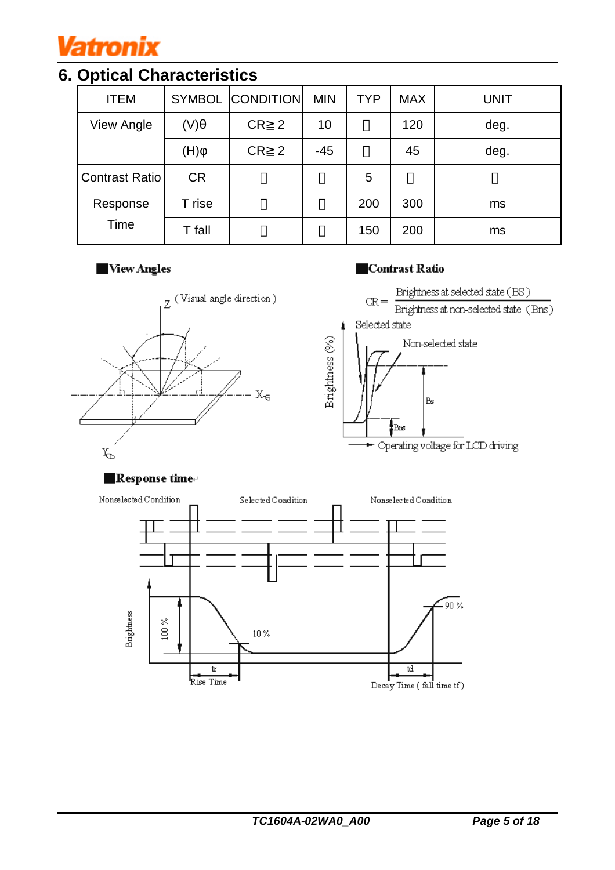

# **6. Optical Characteristics**

| <b>ITEM</b>           |           | <b>SYMBOL CONDITION</b> | <b>MIN</b> | <b>TYP</b> | <b>MAX</b> | <b>UNIT</b> |
|-----------------------|-----------|-------------------------|------------|------------|------------|-------------|
| <b>View Angle</b>     | (V)       | CR <sub>2</sub>         | 10         |            | 120        | deg.        |
|                       | (H)       | CR <sub>2</sub>         | $-45$      |            | 45         | deg.        |
| <b>Contrast Ratio</b> | <b>CR</b> |                         |            | 5          |            |             |
| Response              | T rise    |                         |            | 200        | 300        | ms          |
| Time                  | T fall    |                         |            | 150        | 200        | ms          |

## **New Angles**

#### Contrast Ratio



### **Response time**

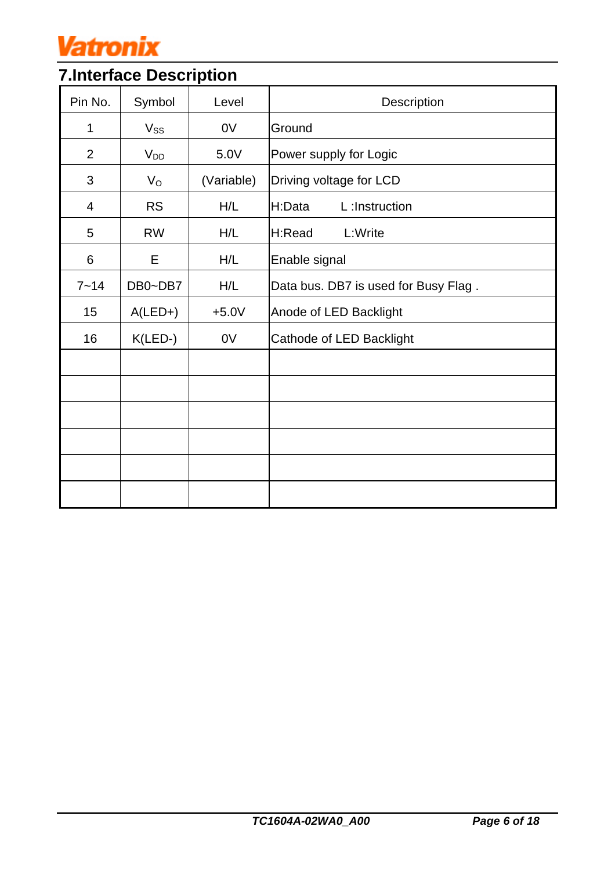

# **7.Interface Description**

| Pin No.        | Symbol      | Level      | Description                          |
|----------------|-------------|------------|--------------------------------------|
| 1              | $V_{SS}$    | 0V         | Ground                               |
| $\overline{2}$ | $V_{DD}$    | 5.0V       | Power supply for Logic               |
| 3              | $V_{\rm O}$ | (Variable) | Driving voltage for LCD              |
| 4              | <b>RS</b>   | H/L        | L:Instruction<br>H:Data              |
| 5              | <b>RW</b>   | H/L        | H:Read<br>L:Write                    |
| 6              | Е           | H/L        | Enable signal                        |
| $7 - 14$       | DB0~DB7     | H/L        | Data bus. DB7 is used for Busy Flag. |
| 15             | $A(LED+)$   | $+5.0V$    | Anode of LED Backlight               |
| 16             | $K(LED-)$   | 0V         | Cathode of LED Backlight             |
|                |             |            |                                      |
|                |             |            |                                      |
|                |             |            |                                      |
|                |             |            |                                      |
|                |             |            |                                      |
|                |             |            |                                      |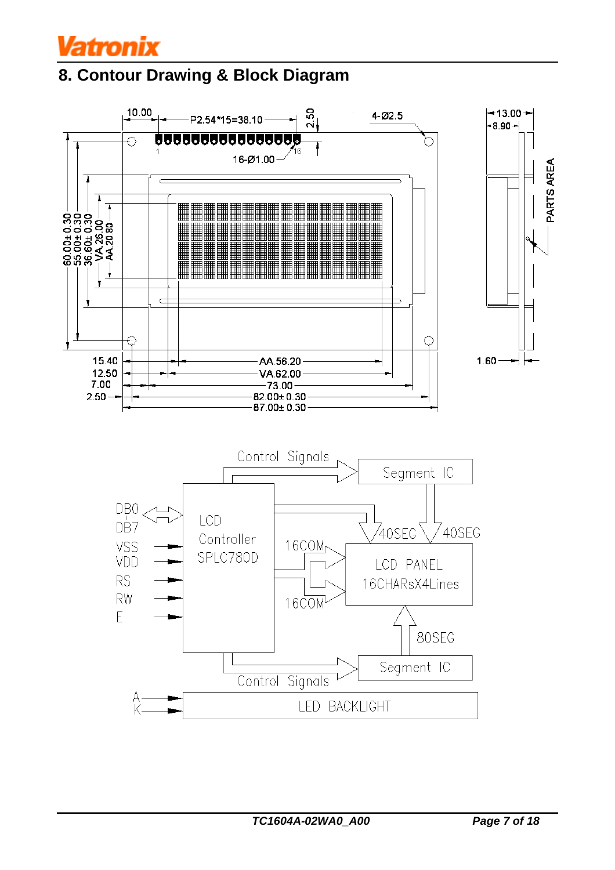

## **8. Contour Drawing & Block Diagram**

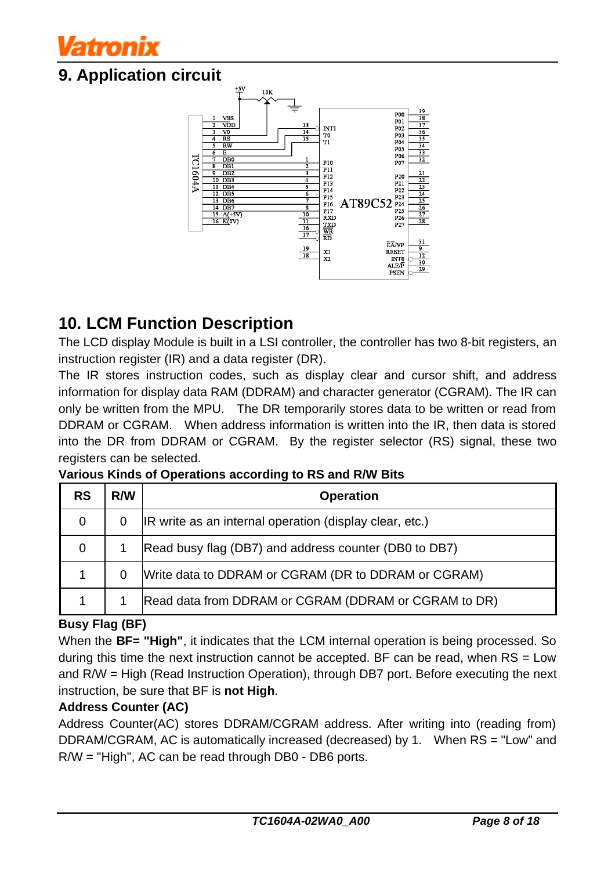# atronix

## **9. Application circuit**



## **10. LCM Function Description**

The LCD display Module is built in a LSI controller, the controller has two 8-bit registers, an instruction register (IR) and a data register (DR).

The IR stores instruction codes, such as display clear and cursor shift, and address information for display data RAM (DDRAM) and character generator (CGRAM). The IR can only be written from the MPU. The DR temporarily stores data to be written or read from DDRAM or CGRAM. When address information is written into the IR, then data is stored into the DR from DDRAM or CGRAM. By the register selector (RS) signal, these two registers can be selected.

| <b>RS</b>   | R/W | <b>Operation</b>                                        |
|-------------|-----|---------------------------------------------------------|
| 0           |     | IR write as an internal operation (display clear, etc.) |
| $\mathbf 0$ |     | Read busy flag (DB7) and address counter (DB0 to DB7)   |
|             |     | Write data to DDRAM or CGRAM (DR to DDRAM or CGRAM)     |
|             |     | Read data from DDRAM or CGRAM (DDRAM or CGRAM to DR)    |

**Various Kinds of Operations according to RS and R/W Bits**

## **Busy Flag (BF)**

When the **BF= "High"**, it indicates that the LCM internal operation is being processed. So during this time the next instruction cannot be accepted. BF can be read, when RS = Low and R/W = High (Read Instruction Operation), through DB7 port. Before executing the next instruction, be sure that BF is **not High**.

## **Address Counter (AC)**

Address Counter(AC) stores DDRAM/CGRAM address. After writing into (reading from) DDRAM/CGRAM, AC is automatically increased (decreased) by 1. When RS = "Low" and R/W = "High", AC can be read through DB0 - DB6 ports.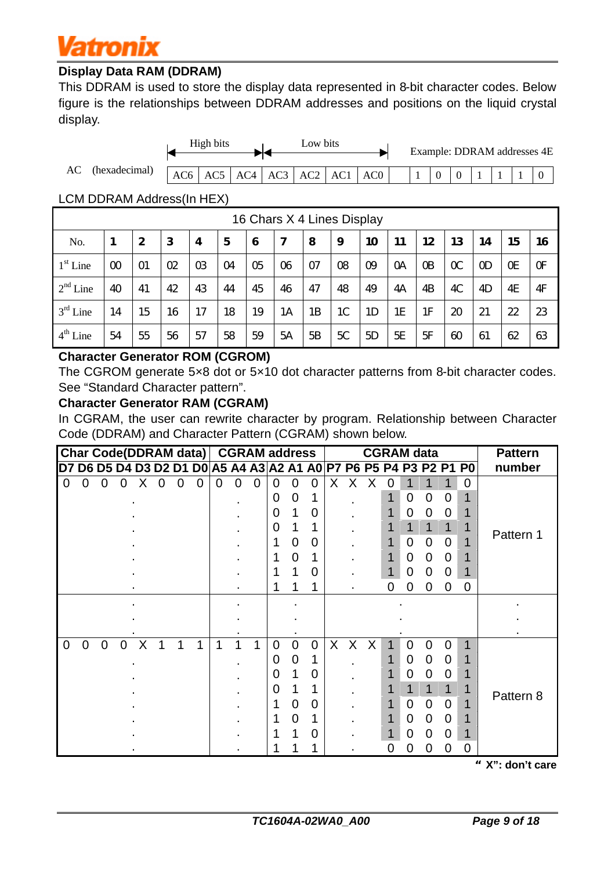# Vatronix

## **Display Data RAM (DDRAM)**

This DDRAM is used to store the display data represented in 8-bit character codes. Below figure is the relationships between DDRAM addresses and positions on the liquid crystal display.



### LCM DDRAM Address(In HEX)

|            | 16 Chars X 4 Lines Display |    |    |          |                |                |    |                |    |                |           |    |          |               |    |    |
|------------|----------------------------|----|----|----------|----------------|----------------|----|----------------|----|----------------|-----------|----|----------|---------------|----|----|
| No.        |                            | 2  | З  | 4        | 5              | 6              | 7  | 8              | 9  | 10             | 11        | 12 | 13       | 14            | 15 | 16 |
| $1st$ Line | $\infty$                   | Ο1 | O2 | $\alpha$ | O <sub>4</sub> | O <sub>5</sub> | 06 | O <sub>7</sub> | 08 | 09             | <b>OA</b> | Œ  | $\alpha$ | <sub>OD</sub> | Œ  | Œ  |
| $2nd$ Line | 40                         | 41 | 42 | 43       | 44             | 45             | 46 | 47             | 48 | 49             | 4А        | 4B | 4C       | 4D            | 4E | 4F |
| $3rd$ Line | 14                         | 15 | 16 | 17       | 18             | 19             | 1A | 1B             | 1C | 1 <sub>D</sub> | 1E        | 1F | 20       | 21            | 22 | 23 |
| $4th$ Line | 54                         | 55 | 56 | 57       | 58             | 59             | 5A | 5B             | 5C | 5 <sub>D</sub> | 5E        | 5F | 60       | 61            | 62 | 63 |

### **Character Generator ROM (CGROM)**

The CGROM generate 5×8 dot or 5×10 dot character patterns from 8-bit character codes. See "Standard Character pattern".

### **Character Generator RAM (CGRAM)**

In CGRAM, the user can rewrite character by program. Relationship between Character Code (DDRAM) and Character Pattern (CGRAM) shown below.

|             |             |                |   |   |   |                | Char Code(DDRAM data) CGRAM address |          |   |   |             |          |             |         |              |   |   |                | <b>CGRAM</b> data |                   |                                                                   | <b>Pattern</b> |
|-------------|-------------|----------------|---|---|---|----------------|-------------------------------------|----------|---|---|-------------|----------|-------------|---------|--------------|---|---|----------------|-------------------|-------------------|-------------------------------------------------------------------|----------------|
|             |             |                |   |   |   |                |                                     |          |   |   |             |          |             |         |              |   |   |                |                   |                   | D7 D6 D5 D4 D3 D2 D1 D0 A5 A4 A3 A2 A1 A0 P7 P6 P5 P4 P3 P2 P1 P0 | number         |
| $\mathbf 0$ | 0           | 0              | 0 | х | 0 | $\overline{0}$ | $\Omega$                            | $\Omega$ | 0 | 0 | $\Omega$    | 0        | $\Omega$    | X.      | X            |   |   |                |                   |                   | 0                                                                 |                |
|             |             |                |   |   |   |                |                                     |          |   |   | $\Omega$    | 0        |             |         |              |   |   | 0              | 0                 | 0                 |                                                                   |                |
|             |             |                |   |   |   |                |                                     |          |   |   | O           |          | 0           |         |              |   |   | 0              | 0                 | $\Omega$          |                                                                   |                |
|             |             |                |   |   |   |                |                                     |          |   |   | 0           |          |             |         |              |   |   |                |                   |                   |                                                                   | Pattern 1      |
|             |             |                |   |   |   |                |                                     |          |   |   |             | 0        | 0           |         |              |   |   | $\overline{0}$ | $\mathbf 0$       | $\Omega$          |                                                                   |                |
|             |             |                |   |   |   |                |                                     |          |   |   |             | $\Omega$ |             |         |              |   |   | 0              | 0                 | $\Omega$          |                                                                   |                |
|             |             |                |   |   |   |                |                                     |          |   |   |             |          | 0           |         |              |   |   | 0              | 0                 | 0                 |                                                                   |                |
|             |             |                |   |   |   |                |                                     |          |   |   |             |          |             |         |              |   | 0 | 0              | 0                 | 0                 | $\overline{0}$                                                    |                |
|             |             |                |   |   |   |                |                                     |          |   |   |             |          |             |         |              |   |   |                |                   |                   |                                                                   |                |
|             |             |                |   |   |   |                |                                     |          |   |   |             |          |             |         |              |   |   |                |                   |                   |                                                                   |                |
|             |             |                |   |   |   |                |                                     |          |   |   |             |          |             |         |              |   |   |                |                   |                   |                                                                   |                |
| 0           | $\mathbf 0$ | $\overline{0}$ | 0 | X |   | 1              |                                     | 1        |   |   | $\mathbf 0$ | $\Omega$ | $\mathbf 0$ | $\sf X$ | $\mathsf{X}$ | X |   | $\Omega$       | 0                 | 0                 | 1                                                                 |                |
|             |             |                |   |   |   |                |                                     |          |   |   | 0           | 0        |             |         |              |   |   | 0              | 0                 | 0                 |                                                                   |                |
|             |             |                |   |   |   |                |                                     |          |   |   | $\Omega$    |          | 0           |         |              |   |   | 0              | 0                 | $\Omega$          |                                                                   |                |
|             |             |                |   |   |   |                |                                     |          |   |   | 0           |          |             |         |              |   |   |                | 1                 |                   |                                                                   | Pattern 8      |
|             |             |                |   |   |   |                |                                     |          |   |   |             | 0        | 0           |         |              |   |   | $\overline{0}$ | $\overline{0}$    | 0                 |                                                                   |                |
|             |             |                |   |   |   |                |                                     |          |   |   |             | 0        |             |         |              |   |   | 0              | 0                 | 0                 |                                                                   |                |
|             |             |                |   |   |   |                |                                     |          |   |   |             |          | 0           |         |              |   |   | O              | $\mathbf{0}$      | $\mathbf{\Omega}$ |                                                                   |                |
|             |             |                |   |   |   |                |                                     |          |   |   |             |          |             |         |              |   | 0 | O              | O)                | $\mathbf{\Omega}$ | 0                                                                 |                |

"**X": don't care**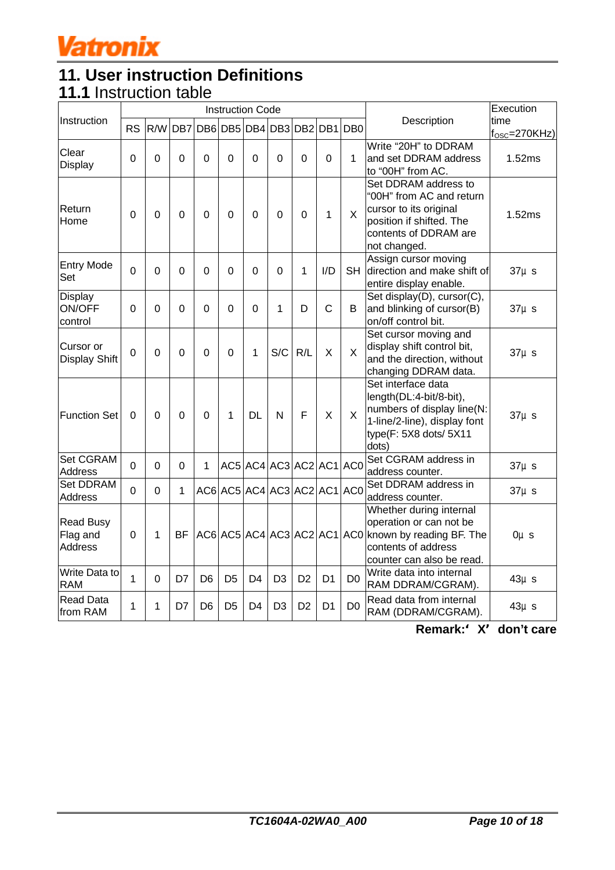

## **11. User instruction Definitions 11.1** Instruction table

|                                                |                |                |              |                                     |                | <b>Instruction Code</b>     |                |                |                |                |                                                                                                                                                 | Execution                   |
|------------------------------------------------|----------------|----------------|--------------|-------------------------------------|----------------|-----------------------------|----------------|----------------|----------------|----------------|-------------------------------------------------------------------------------------------------------------------------------------------------|-----------------------------|
| Instruction                                    | <b>RS</b>      |                |              | R/W DB7 DB6 DB5 DB4 DB3 DB2 DB1 DB0 |                |                             |                |                |                |                | Description                                                                                                                                     | time                        |
| Clear                                          |                |                |              |                                     |                |                             |                |                |                |                | Write "20H" to DDRAM                                                                                                                            | $f_{\text{OSC}} = 270$ KHz) |
| Display                                        | 0              | 0              | 0            | $\mathbf 0$                         | 0              | $\Omega$                    | 0              | 0              | 0              | 1              | and set DDRAM address<br>to "00H" from AC.                                                                                                      | 1.52ms                      |
| Return<br>Home                                 | 0              | 0              | 0            | $\Omega$                            | $\Omega$       | $\Omega$                    | 0              | 0              | 1              | X              | Set DDRAM address to<br>"00H" from AC and return<br>cursor to its original<br>position if shifted. The<br>contents of DDRAM are<br>not changed. | 1.52ms                      |
| <b>Entry Mode</b><br>Set                       | $\overline{0}$ | 0              | 0            | $\mathbf 0$                         | 0              | $\Omega$                    | 0              | 1              | I/D            | <b>SH</b>      | Assign cursor moving<br>direction and make shift of<br>entire display enable.                                                                   | $37\mu s$                   |
| <b>Display</b><br>ON/OFF<br>control            | 0              | $\Omega$       | $\Omega$     | 0                                   | $\Omega$       | $\Omega$                    | $\mathbf{1}$   | D              | $\mathsf{C}$   | B              | Set display(D), cursor(C),<br>and blinking of cursor(B)<br>on/off control bit.                                                                  | $37\mu s$                   |
| Cursor or<br><b>Display Shift</b>              | 0              | 0              | 0            | 0                                   | $\Omega$       | 1                           | S/C            | R/L            | X              | $\sf X$        | Set cursor moving and<br>display shift control bit,<br>and the direction, without<br>changing DDRAM data.                                       | $37\mu s$                   |
| <b>Function Set</b>                            | 0              | 0              | 0            | $\overline{0}$                      | 1              | <b>DL</b>                   | N              | F              | X              | $\times$       | Set interface data<br>length(DL:4-bit/8-bit),<br>numbers of display line(N:<br>1-line/2-line), display font<br>type(F: 5X8 dots/ 5X11<br>dots)  | $37\mu s$                   |
| Set CGRAM<br><b>Address</b>                    | $\Omega$       | 0              | $\Omega$     | 1                                   |                | AC5 AC4 AC3 AC2 AC1 AC0     |                |                |                |                | Set CGRAM address in<br>address counter.                                                                                                        | $37\mu s$                   |
| <b>Set DDRAM</b><br><b>Address</b>             | $\overline{0}$ | $\overline{0}$ | $\mathbf{1}$ |                                     |                | AC6 AC5 AC4 AC3 AC2 AC1 AC0 |                |                |                |                | Set DDRAM address in<br>address counter.                                                                                                        | $37\mu s$                   |
| <b>Read Busy</b><br>Flag and<br><b>Address</b> | 0              | 1              | <b>BF</b>    | AC6 AC5 AC4 AC3 AC2 AC1 AC0         |                |                             |                |                |                |                | Whether during internal<br>operation or can not be<br>known by reading BF. The<br>contents of address<br>counter can also be read.              | $0\mu s$                    |
| Write Data to<br><b>RAM</b>                    | 1              | 0              | D7           | D <sub>6</sub>                      | D <sub>5</sub> | D <sub>4</sub>              | D <sub>3</sub> | D <sub>2</sub> | D <sub>1</sub> | D <sub>0</sub> | Write data into internal<br>RAM DDRAM/CGRAM).                                                                                                   | $43\mu s$                   |
| <b>Read Data</b><br>from RAM                   | 1              | 1              | D7           | D <sub>6</sub>                      | D5             | D <sub>4</sub>              | D <sub>3</sub> | D <sub>2</sub> | D <sub>1</sub> | D <sub>0</sub> | Read data from internal<br>RAM (DDRAM/CGRAM).                                                                                                   | $43\mu s$                   |

 **Remark:**'**X**'**don't care**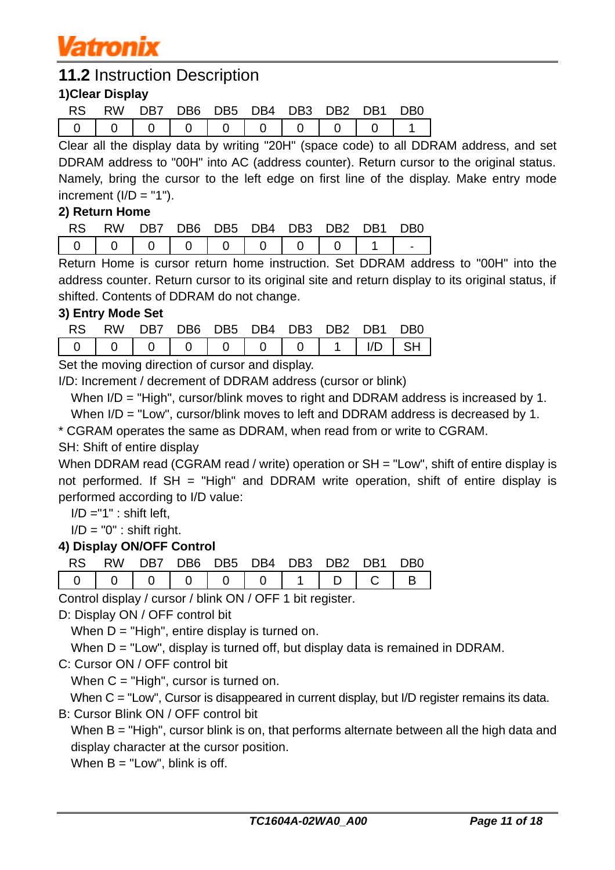

## **11.2** Instruction Description

## **1)Clear Display**

| RS. | <b>RW</b> |  | DB7 DB6 DB5 DB4 DB3 DB2 DB1 |  | DB0 |
|-----|-----------|--|-----------------------------|--|-----|
|     |           |  |                             |  |     |

Clear all the display data by writing "20H" (space code) to all DDRAM address, and set DDRAM address to "00H" into AC (address counter). Return cursor to the original status. Namely, bring the cursor to the left edge on first line of the display. Make entry mode increment  $(I/D = "1")$ .

### **2) Return Home**

| <b>RS</b> |  |  | RW DB7 DB6 DB5 DB4 DB3 DB2 DB1 DB0  |  |  |
|-----------|--|--|-------------------------------------|--|--|
|           |  |  | 0   0   0   0   0   0   0   0   1 . |  |  |

Return Home is cursor return home instruction. Set DDRAM address to "00H" into the address counter. Return cursor to its original site and return display to its original status, if shifted. Contents of DDRAM do not change.

#### **3) Entry Mode Set**

|  |  | RS RW DB7 DB6 DB5 DB4 DB3 DB2 DB1 DB0 |  |  |
|--|--|---------------------------------------|--|--|
|  |  |                                       |  |  |

Set the moving direction of cursor and display.

I/D: Increment / decrement of DDRAM address (cursor or blink)

When I/D = "High", cursor/blink moves to right and DDRAM address is increased by 1.

When  $I/D = "Low", cursor/blink moves to left and DDRAM address is decreased by 1.$ 

\* CGRAM operates the same as DDRAM, when read from or write to CGRAM.

## SH: Shift of entire display

When DDRAM read (CGRAM read / write) operation or SH = "Low", shift of entire display is not performed. If  $SH = "High"$  and DDRAM write operation, shift of entire display is performed according to I/D value:

 $I/D = "1"$  : shift left.

 $I/D = "0"$ : shift right.

### **4) Display ON/OFF Control**

|                                       |  |  | RS RW DB7 DB6 DB5 DB4 DB3 DB2 DB1 DB0 |  |  |
|---------------------------------------|--|--|---------------------------------------|--|--|
| 0   0   0   0   0   0   1   D   C   B |  |  |                                       |  |  |

Control display / cursor / blink ON / OFF 1 bit register.

D: Display ON / OFF control bit

When  $D = "High",$  entire display is turned on.

When  $D = "Low", display is turned off, but display data is remained in DDRAM.$ 

C: Cursor ON / OFF control bit

When  $C = "High", cursor is turned on.$ 

When C = "Low", Cursor is disappeared in current display, but I/D register remains its data.

B: Cursor Blink ON / OFF control bit

When B = "High", cursor blink is on, that performs alternate between all the high data and display character at the cursor position.

When  $B = "Low",$  blink is off.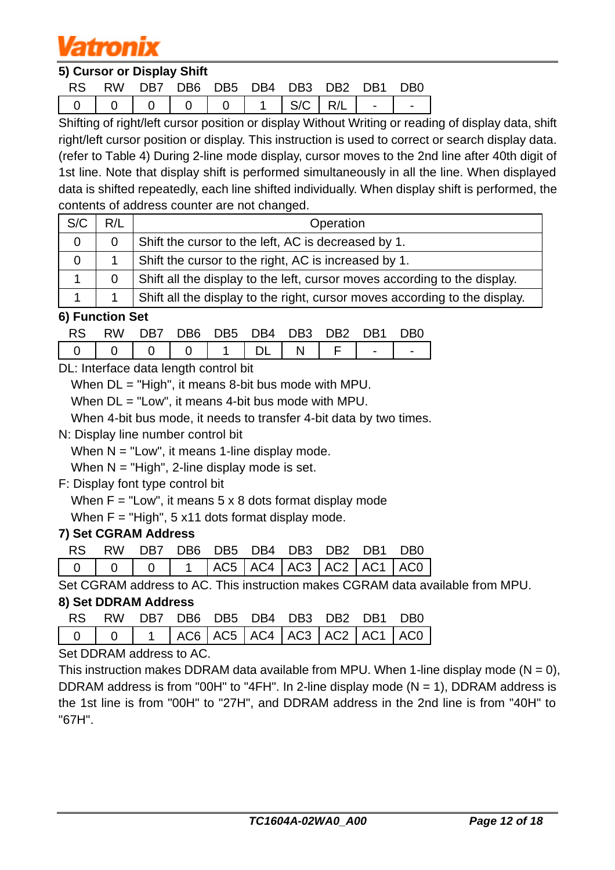# atronix

### **5) Cursor or Display Shift**

|  | RS RW DB7 DB6 DB5 DB4 DB3 DB2 DB1 DB0 |  |  |  |  |
|--|---------------------------------------|--|--|--|--|
|  |                                       |  |  |  |  |

Shifting of right/left cursor position or display Without Writing or reading of display data, shift right/left cursor position or display. This instruction is used to correct or search display data. (refer to Table 4) During 2-line mode display, cursor moves to the 2nd line after 40th digit of 1st line. Note that display shift is performed simultaneously in all the line. When displayed data is shifted repeatedly, each line shifted individually. When display shift is performed, the contents of address counter are not changed.

| S/C | R/L | Operation                                                                  |
|-----|-----|----------------------------------------------------------------------------|
|     |     | Shift the cursor to the left, AC is decreased by 1.                        |
|     |     | Shift the cursor to the right, AC is increased by 1.                       |
|     |     | Shift all the display to the left, cursor moves according to the display.  |
|     |     | Shift all the display to the right, cursor moves according to the display. |

### **6) Function Set**

|                                        | RS RW DB7 DB6 DB5 DB4 DB3 DB2 DB1 DB0 |  |  |  |  |
|----------------------------------------|---------------------------------------|--|--|--|--|
| 0   0   0   0   1   DL   N   F   -   - |                                       |  |  |  |  |

DL: Interface data length control bit

When DL = "High", it means 8-bit bus mode with MPU.

When DL = "Low", it means 4-bit bus mode with MPU.

When 4-bit bus mode, it needs to transfer 4-bit data by two times.

N: Display line number control bit

When  $N = "Low",$  it means 1-line display mode.

When  $N = "High", 2-line display mode is set.$ 

F: Display font type control bit

When  $F = "Low",$  it means  $5 \times 8$  dots format display mode

When  $F = "High", 5 x11 dots format display model.$ 

### **7) Set CGRAM Address**

|  |  | RS RW DB7 DB6 DB5 DB4 DB3 DB2 DB1 DB0 |  |  |
|--|--|---------------------------------------|--|--|
|  |  |                                       |  |  |

Set CGRAM address to AC. This instruction makes CGRAM data available from MPU.

### **8) Set DDRAM Address**

|  |  | RS RW DB7 DB6 DB5 DB4 DB3 DB2 DB1 DB0 |  |                                              |
|--|--|---------------------------------------|--|----------------------------------------------|
|  |  |                                       |  | 0   0   1  AC6  AC5  AC4  AC3  AC2  AC1  AC0 |

Set DDRAM address to AC.

This instruction makes DDRAM data available from MPU. When 1-line display mode ( $N = 0$ ), DDRAM address is from "00H" to "4FH". In 2-line display mode  $(N = 1)$ , DDRAM address is the 1st line is from "00H" to "27H", and DDRAM address in the 2nd line is from "40H" to "67H".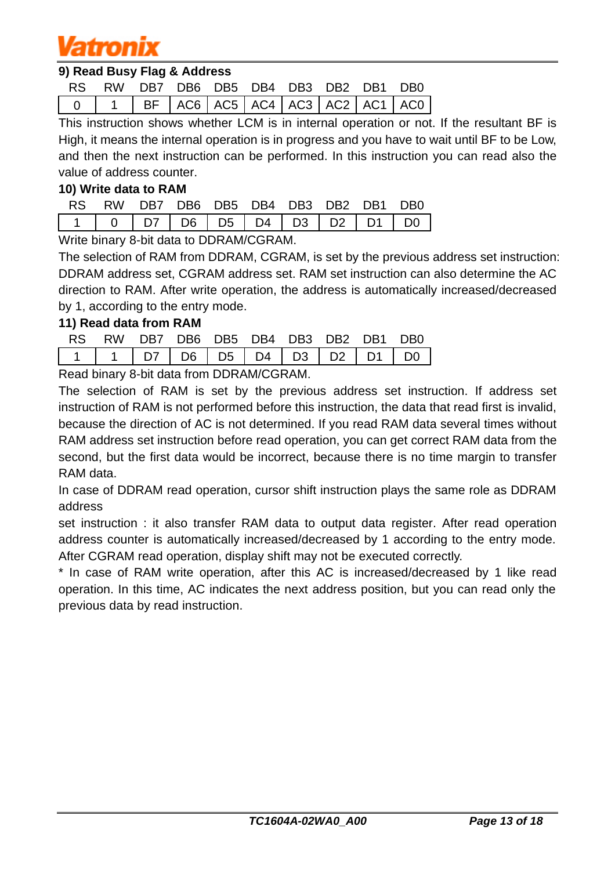# amonix

### **9) Read Busy Flag & Address**

|  |  |  |  | RS RW DB7 DB6 DB5 DB4 DB3 DB2 DB1 DB0 |
|--|--|--|--|---------------------------------------|
|  |  |  |  |                                       |

This instruction shows whether LCM is in internal operation or not. If the resultant BF is High, it means the internal operation is in progress and you have to wait until BF to be Low, and then the next instruction can be performed. In this instruction you can read also the value of address counter.

#### **10) Write data to RAM**

|  | RS RW DB7 DB6 DB5 DB4 DB3 DB2 DB1 DB0 |  |  |  |  |
|--|---------------------------------------|--|--|--|--|
|  |                                       |  |  |  |  |

Write binary 8-bit data to DDRAM/CGRAM.

The selection of RAM from DDRAM, CGRAM, is set by the previous address set instruction: DDRAM address set, CGRAM address set. RAM set instruction can also determine the AC direction to RAM. After write operation, the address is automatically increased/decreased by 1, according to the entry mode.

### **11) Read data from RAM**

|  | RS RW DB7 DB6 DB5 DB4 DB3 DB2 DB1 DB0 |  |  |  |                             |
|--|---------------------------------------|--|--|--|-----------------------------|
|  |                                       |  |  |  | 1 1 07 06 05 04 03 02 01 00 |

Read binary 8-bit data from DDRAM/CGRAM.

The selection of RAM is set by the previous address set instruction. If address set instruction of RAM is not performed before this instruction, the data that read first is invalid, because the direction of AC is not determined. If you read RAM data several times without RAM address set instruction before read operation, you can get correct RAM data from the second, but the first data would be incorrect, because there is no time margin to transfer RAM data.

In case of DDRAM read operation, cursor shift instruction plays the same role as DDRAM address

set instruction : it also transfer RAM data to output data register. After read operation address counter is automatically increased/decreased by 1 according to the entry mode. After CGRAM read operation, display shift may not be executed correctly.

\* In case of RAM write operation, after this AC is increased/decreased by 1 like read operation. In this time, AC indicates the next address position, but you can read only the previous data by read instruction.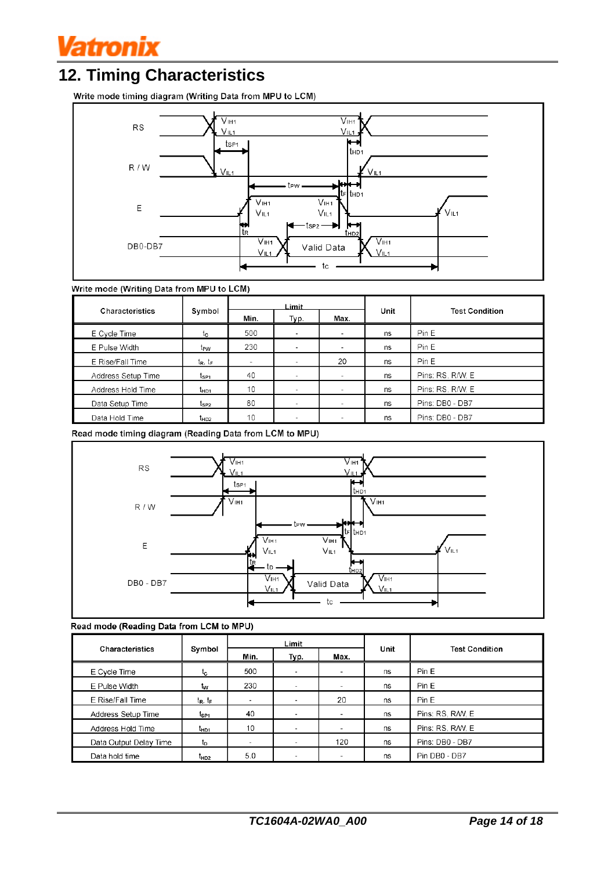

## **12. Timing Characteristics**

Write mode timing diagram (Writing Data from MPU to LCM)



#### Write mode (Writing Data from MPU to LCM)

|                    |                  | Limit |                          |                          |      |                       |  |
|--------------------|------------------|-------|--------------------------|--------------------------|------|-----------------------|--|
| Characteristics    | Symbol           | Min.  | Typ.                     | Max.                     | Unit | <b>Test Condition</b> |  |
| E Cycle Time       | tc               | 500   |                          | ۰                        | ns   | Pin E                 |  |
| E Pulse Width      | t <sub>PW</sub>  | 230   | $\overline{\phantom{a}}$ | $\sim$                   | ns   | Pin E                 |  |
| E Rise/Fall Time   | $t_R$ , $t_F$    | ۰     | $\overline{\phantom{a}}$ | 20                       | ns   | Pin E                 |  |
| Address Setup Time | t <sub>SP1</sub> | 40    |                          | $\overline{\phantom{a}}$ | ns   | Pins: RS, R/W, E      |  |
| Address Hold Time  | t <sub>HD1</sub> | 10    |                          | -                        | ns   | Pins: RS, R/W, E      |  |
| Data Setup Time    | t <sub>SP2</sub> | 80    |                          | $\overline{\phantom{0}}$ | ns   | Pins: DB0 - DB7       |  |
| Data Hold Time     | t <sub>HD2</sub> | 10    |                          | $\overline{\phantom{a}}$ | ns   | Pins: DB0 - DB7       |  |

Read mode timing diagram (Reading Data from LCM to MPU)



#### Read mode (Reading Data from LCM to MPU)

|                        |                  | Limit  |                          |                          |      |                       |  |
|------------------------|------------------|--------|--------------------------|--------------------------|------|-----------------------|--|
| <b>Characteristics</b> | Symbol           | Min.   | Typ.                     | Max.                     | Unit | <b>Test Condition</b> |  |
| E Cycle Time           | ιc               | 500    |                          | $\sim$                   | ns   | Pin E                 |  |
| E Pulse Width          | tw               | 230    |                          | $\overline{\phantom{a}}$ | ns   | Pin E                 |  |
| E Rise/Fall Time       | $t_R$ , $t_F$    | $\sim$ | $\,$                     | 20                       | ns   | Pin E                 |  |
| Address Setup Time     | t <sub>SP1</sub> | 40     | $\overline{\phantom{a}}$ | $\sim$                   | ns   | Pins: RS, R/W, E      |  |
| Address Hold Time      | t <sub>HD1</sub> | 10     |                          | $\overline{\phantom{a}}$ | ns   | Pins: RS, R/W, E      |  |
| Data Output Delay Time | tp               | $\sim$ |                          | 120                      | ns   | Pins: DB0 - DB7       |  |
| Data hold time         | t <sub>HD2</sub> | 5.0    |                          | $\sim$                   | ns   | Pin DB0 - DB7         |  |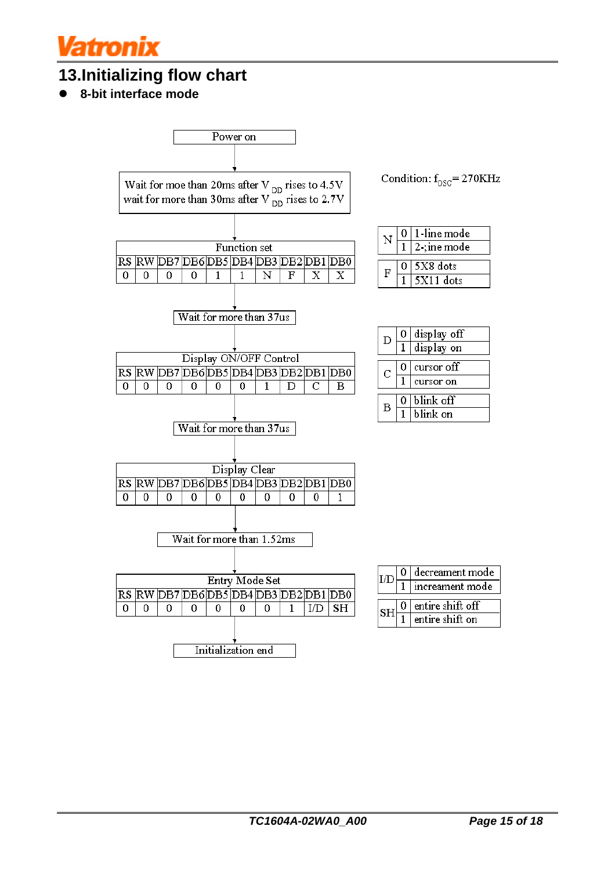# latronix

## **13.Initializing flow chart**

l **8-bit interface mode**

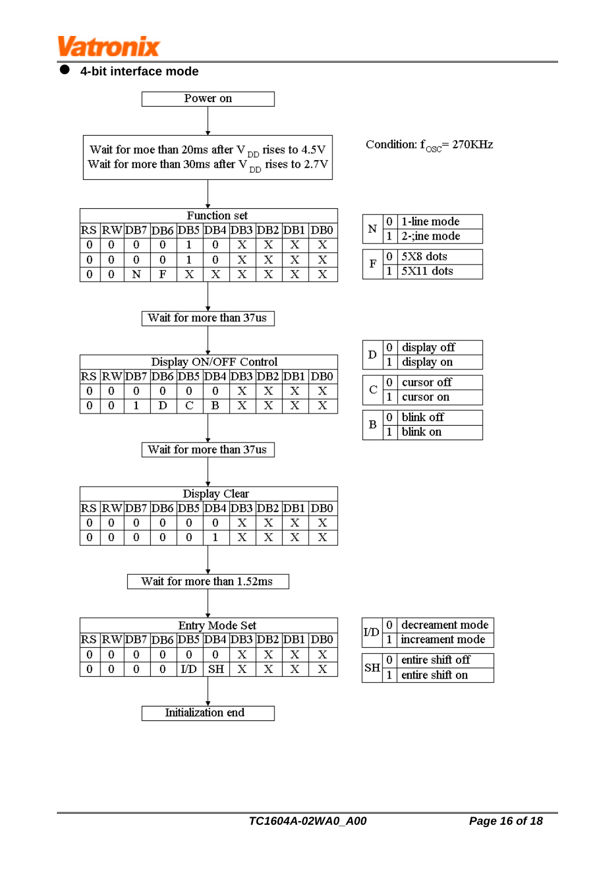

l **4-bit interface mode**



Wait for moe than 20ms after V  $_{\text{DD}}$  rises to 4.5V Wait for more than 30ms after V  $_{\text{DD}}$  rises to 2.7V

| <b>Function set</b> |  |                                               |  |  |  |  |  |  |  |  |  |  |
|---------------------|--|-----------------------------------------------|--|--|--|--|--|--|--|--|--|--|
|                     |  | RS  RW DB7  DB6  DB5  DB4  DB3  DB2  DB1  DB0 |  |  |  |  |  |  |  |  |  |  |
|                     |  |                                               |  |  |  |  |  |  |  |  |  |  |
|                     |  |                                               |  |  |  |  |  |  |  |  |  |  |
|                     |  | F                                             |  |  |  |  |  |  |  |  |  |  |

 $0$  | 1-line mode N  $\sqrt{2}$ -; ine mode  $\overline{1}$  $0$  5X8 dots  $\mathbf F$  $\overline{1}$  $5X11$  dots

Condition:  $\rm f_{\rm osc}$   $\rm = 270KHz$ 

| Display ON/OFF Control |  |  |  |  |  |  |                                               |  |  |  |  |
|------------------------|--|--|--|--|--|--|-----------------------------------------------|--|--|--|--|
|                        |  |  |  |  |  |  | RS  RW DB7  DB6  DB5  DB4  DB3  DB2  DB1  DB0 |  |  |  |  |
|                        |  |  |  |  |  |  |                                               |  |  |  |  |
|                        |  |  |  |  |  |  |                                               |  |  |  |  |
|                        |  |  |  |  |  |  |                                               |  |  |  |  |

Wait for more than 37us

| D |   | display off |
|---|---|-------------|
|   |   | display on  |
|   |   |             |
| С | 0 | cursor off  |
|   |   | cursor on   |
|   |   |             |
| в | 0 | blink off   |
|   |   | blink on    |

| Wait for more than 37us |  |  |  |               |  |                                      |  |  |  |  |  |
|-------------------------|--|--|--|---------------|--|--------------------------------------|--|--|--|--|--|
|                         |  |  |  |               |  |                                      |  |  |  |  |  |
|                         |  |  |  |               |  |                                      |  |  |  |  |  |
|                         |  |  |  | Display Clear |  |                                      |  |  |  |  |  |
|                         |  |  |  |               |  | RS RWDB7 DB6 DB5 DB4 DB3 DB2 DB1 DB0 |  |  |  |  |  |
|                         |  |  |  |               |  |                                      |  |  |  |  |  |
|                         |  |  |  |               |  |                                      |  |  |  |  |  |



| Entry Mode Set     |   |   |                                      |    |    |              |  |  |  |  |  |
|--------------------|---|---|--------------------------------------|----|----|--------------|--|--|--|--|--|
|                    |   |   | RS RWDB7 DB6 DB5 DB4 DB3 DB2 DB1 DB0 |    |    |              |  |  |  |  |  |
|                    |   |   |                                      |    |    |              |  |  |  |  |  |
|                    | 0 | 0 | Ι⁄D                                  | SH | X. | $\mathbf{X}$ |  |  |  |  |  |
|                    |   |   |                                      |    |    |              |  |  |  |  |  |
|                    |   |   |                                      |    |    |              |  |  |  |  |  |
| Initialization end |   |   |                                      |    |    |              |  |  |  |  |  |

|  | decreament mode  |  |  |  |  |  |  |
|--|------------------|--|--|--|--|--|--|
|  | increament mode  |  |  |  |  |  |  |
|  | entire shift off |  |  |  |  |  |  |
|  | entire shift on  |  |  |  |  |  |  |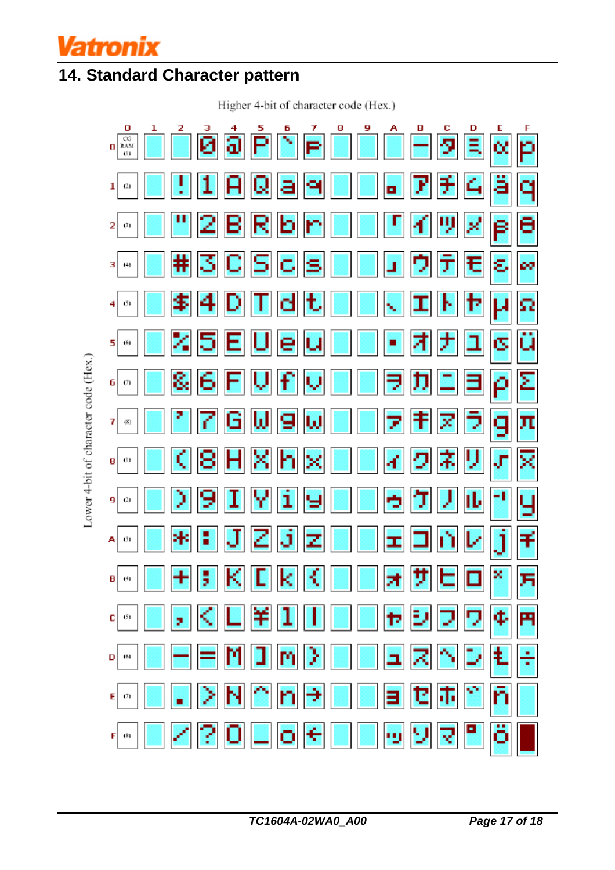

## **14. Standard Character pattern**

Higher 4-bit of character code (Hex.)